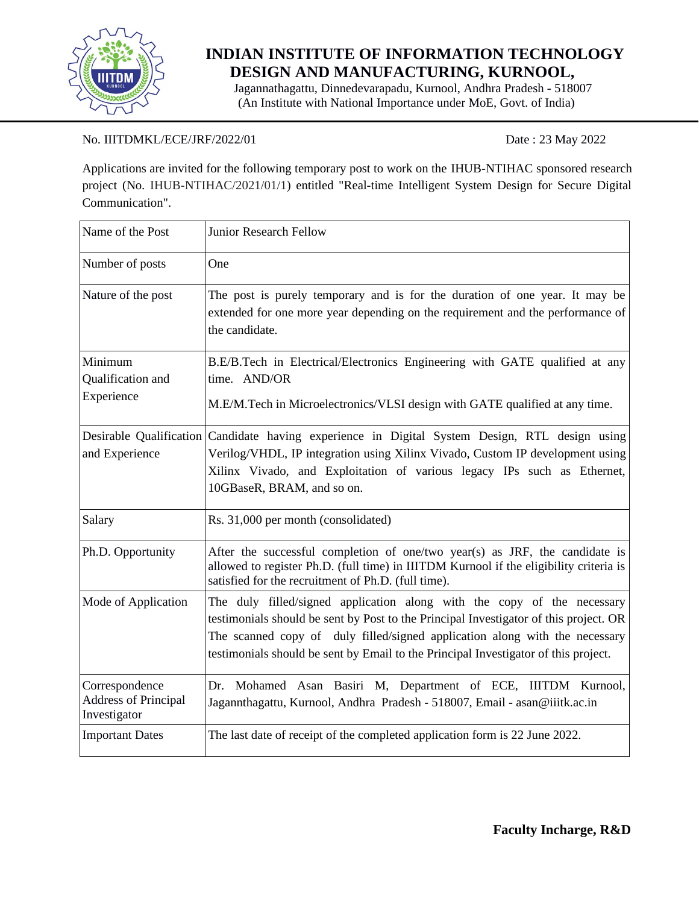

## **INDIAN INSTITUTE OF INFORMATION TECHNOLOGY DESIGN AND MANUFACTURING, KURNOOL,**

 Jagannathagattu, Dinnedevarapadu, Kurnool, Andhra Pradesh - 518007 (An Institute with National Importance under MoE, Govt. of India)

### No. IIITDMKL/ECE/JRF/2022/01 Date : 23 May 2022

Applications are invited for the following temporary post to work on the IHUB-NTIHAC sponsored research project (No. IHUB-NTIHAC/2021/01/1) entitled "Real-time Intelligent System Design for Secure Digital Communication".

| Name of the Post                                              | Junior Research Fellow                                                                                                                                                                                                                                                                                                                 |  |  |  |  |
|---------------------------------------------------------------|----------------------------------------------------------------------------------------------------------------------------------------------------------------------------------------------------------------------------------------------------------------------------------------------------------------------------------------|--|--|--|--|
| Number of posts                                               | One                                                                                                                                                                                                                                                                                                                                    |  |  |  |  |
| Nature of the post                                            | The post is purely temporary and is for the duration of one year. It may be<br>extended for one more year depending on the requirement and the performance of<br>the candidate.                                                                                                                                                        |  |  |  |  |
| Minimum<br>Qualification and                                  | B.E/B.Tech in Electrical/Electronics Engineering with GATE qualified at any<br>time. AND/OR                                                                                                                                                                                                                                            |  |  |  |  |
| Experience                                                    | M.E/M.Tech in Microelectronics/VLSI design with GATE qualified at any time.                                                                                                                                                                                                                                                            |  |  |  |  |
| and Experience                                                | Desirable Qualification Candidate having experience in Digital System Design, RTL design using<br>Verilog/VHDL, IP integration using Xilinx Vivado, Custom IP development using<br>Xilinx Vivado, and Exploitation of various legacy IPs such as Ethernet,<br>10GBaseR, BRAM, and so on.                                               |  |  |  |  |
| Salary                                                        | Rs. 31,000 per month (consolidated)                                                                                                                                                                                                                                                                                                    |  |  |  |  |
| Ph.D. Opportunity                                             | After the successful completion of one/two year(s) as JRF, the candidate is<br>allowed to register Ph.D. (full time) in IIITDM Kurnool if the eligibility criteria is<br>satisfied for the recruitment of Ph.D. (full time).                                                                                                           |  |  |  |  |
| Mode of Application                                           | The duly filled/signed application along with the copy of the necessary<br>testimonials should be sent by Post to the Principal Investigator of this project. OR<br>The scanned copy of duly filled/signed application along with the necessary<br>testimonials should be sent by Email to the Principal Investigator of this project. |  |  |  |  |
| Correspondence<br><b>Address of Principal</b><br>Investigator | Dr. Mohamed Asan Basiri M, Department of ECE, IIITDM Kurnool,<br>Jagannthagattu, Kurnool, Andhra Pradesh - 518007, Email - asan@iiitk.ac.in                                                                                                                                                                                            |  |  |  |  |
| <b>Important Dates</b>                                        | The last date of receipt of the completed application form is 22 June 2022.                                                                                                                                                                                                                                                            |  |  |  |  |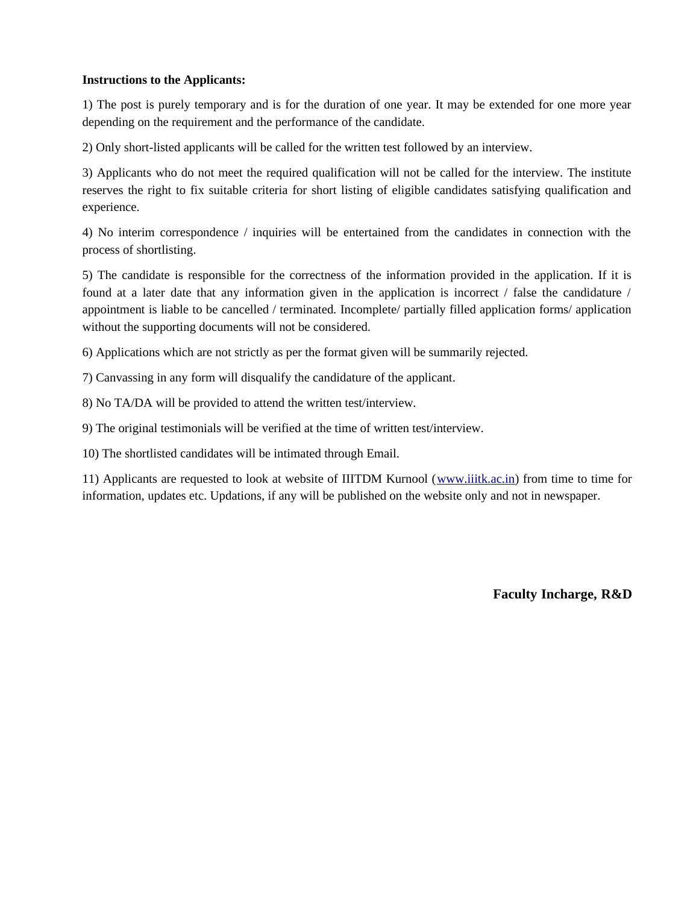#### **Instructions to the Applicants:**

1) The post is purely temporary and is for the duration of one year. It may be extended for one more year depending on the requirement and the performance of the candidate.

2) Only short-listed applicants will be called for the written test followed by an interview.

3) Applicants who do not meet the required qualification will not be called for the interview. The institute reserves the right to fix suitable criteria for short listing of eligible candidates satisfying qualification and experience.

4) No interim correspondence / inquiries will be entertained from the candidates in connection with the process of shortlisting.

5) The candidate is responsible for the correctness of the information provided in the application. If it is found at a later date that any information given in the application is incorrect / false the candidature / appointment is liable to be cancelled / terminated. Incomplete/ partially filled application forms/ application without the supporting documents will not be considered.

6) Applications which are not strictly as per the format given will be summarily rejected.

7) Canvassing in any form will disqualify the candidature of the applicant.

8) No TA/DA will be provided to attend the written test/interview.

9) The original testimonials will be verified at the time of written test/interview.

10) The shortlisted candidates will be intimated through Email.

11) Applicants are requested to look at website of IIITDM Kurnool ([www.iiitk.ac.in](http://www.iiitk.ac.in/)) from time to time for information, updates etc. Updations, if any will be published on the website only and not in newspaper.

**Faculty Incharge, R&D**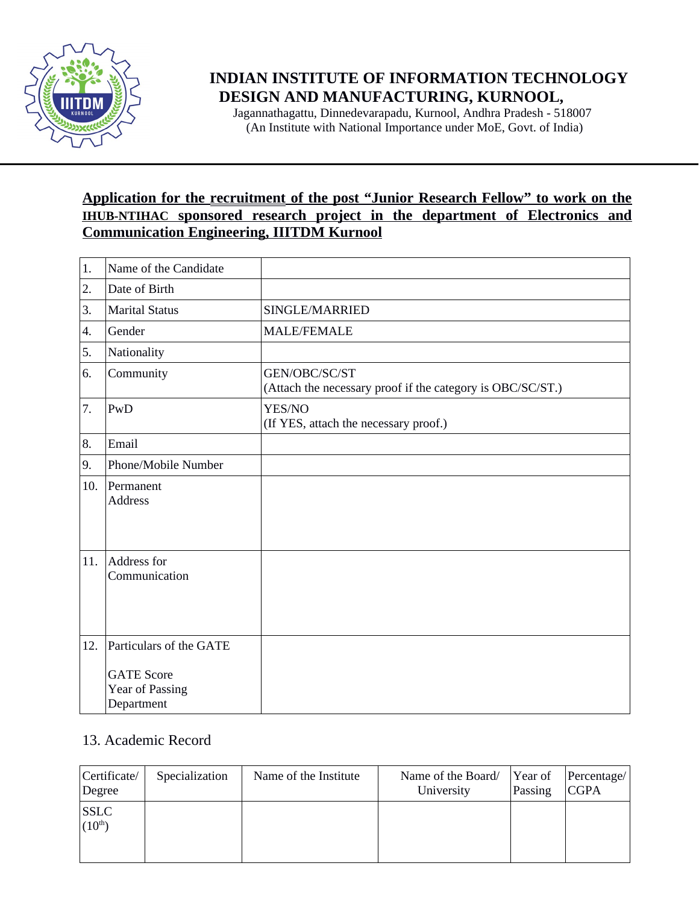

# **INDIAN INSTITUTE OF INFORMATION TECHNOLOGY DESIGN AND MANUFACTURING, KURNOOL,**

 Jagannathagattu, Dinnedevarapadu, Kurnool, Andhra Pradesh - 518007 (An Institute with National Importance under MoE, Govt. of India)

## **Application for the recruitment of the post "Junior Research Fellow" to work on the IHUB-NTIHAC sponsored research project in the department of Electronics and Communication Engineering, IIITDM Kurnool**

| 1.  | Name of the Candidate                                                         |                                                                             |
|-----|-------------------------------------------------------------------------------|-----------------------------------------------------------------------------|
| 2.  | Date of Birth                                                                 |                                                                             |
| 3.  | Marital Status                                                                | SINGLE/MARRIED                                                              |
| 4.  | Gender                                                                        | <b>MALE/FEMALE</b>                                                          |
| 5.  | Nationality                                                                   |                                                                             |
| 6.  | Community                                                                     | GEN/OBC/SC/ST<br>(Attach the necessary proof if the category is OBC/SC/ST.) |
| 7.  | PwD                                                                           | YES/NO<br>(If YES, attach the necessary proof.)                             |
| 8.  | Email                                                                         |                                                                             |
| 9.  | Phone/Mobile Number                                                           |                                                                             |
| 10. | Permanent<br><b>Address</b>                                                   |                                                                             |
| 11. | Address for<br>Communication                                                  |                                                                             |
| 12. | Particulars of the GATE<br><b>GATE Score</b><br>Year of Passing<br>Department |                                                                             |

## 13. Academic Record

| Certificate/<br>Degree     | Specialization | Name of the Institute | Name of the Board/<br>University | Year of<br>Passing | Percentage/<br>CGPA |
|----------------------------|----------------|-----------------------|----------------------------------|--------------------|---------------------|
| <b>SSLC</b><br>$(10^{th})$ |                |                       |                                  |                    |                     |